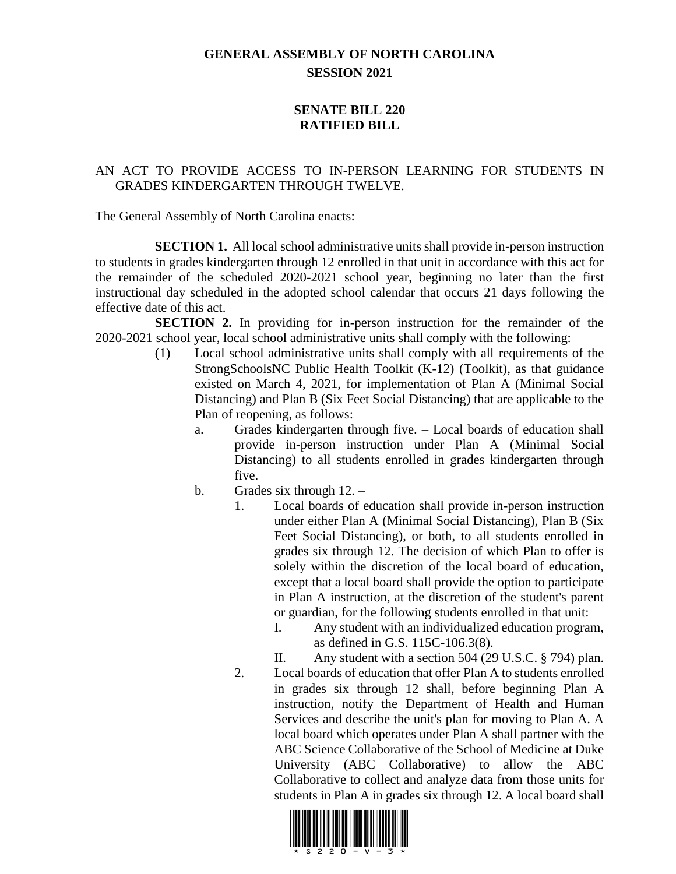## **GENERAL ASSEMBLY OF NORTH CAROLINA SESSION 2021**

## **SENATE BILL 220 RATIFIED BILL**

## AN ACT TO PROVIDE ACCESS TO IN-PERSON LEARNING FOR STUDENTS IN GRADES KINDERGARTEN THROUGH TWELVE.

The General Assembly of North Carolina enacts:

**SECTION 1.** All local school administrative units shall provide in-person instruction to students in grades kindergarten through 12 enrolled in that unit in accordance with this act for the remainder of the scheduled 2020-2021 school year, beginning no later than the first instructional day scheduled in the adopted school calendar that occurs 21 days following the effective date of this act.

**SECTION 2.** In providing for in-person instruction for the remainder of the 2020-2021 school year, local school administrative units shall comply with the following:

- (1) Local school administrative units shall comply with all requirements of the StrongSchoolsNC Public Health Toolkit (K-12) (Toolkit), as that guidance existed on March 4, 2021, for implementation of Plan A (Minimal Social Distancing) and Plan B (Six Feet Social Distancing) that are applicable to the Plan of reopening, as follows:
	- a. Grades kindergarten through five. Local boards of education shall provide in-person instruction under Plan A (Minimal Social Distancing) to all students enrolled in grades kindergarten through five.
	- b. Grades six through 12.
		- 1. Local boards of education shall provide in-person instruction under either Plan A (Minimal Social Distancing), Plan B (Six Feet Social Distancing), or both, to all students enrolled in grades six through 12. The decision of which Plan to offer is solely within the discretion of the local board of education, except that a local board shall provide the option to participate in Plan A instruction, at the discretion of the student's parent or guardian, for the following students enrolled in that unit:
			- I. Any student with an individualized education program, as defined in G.S. 115C-106.3(8).
			- II. Any student with a section 504 (29 U.S.C. § 794) plan.
		- 2. Local boards of education that offer Plan A to students enrolled in grades six through 12 shall, before beginning Plan A instruction, notify the Department of Health and Human Services and describe the unit's plan for moving to Plan A. A local board which operates under Plan A shall partner with the ABC Science Collaborative of the School of Medicine at Duke University (ABC Collaborative) to allow the ABC Collaborative to collect and analyze data from those units for students in Plan A in grades six through 12. A local board shall

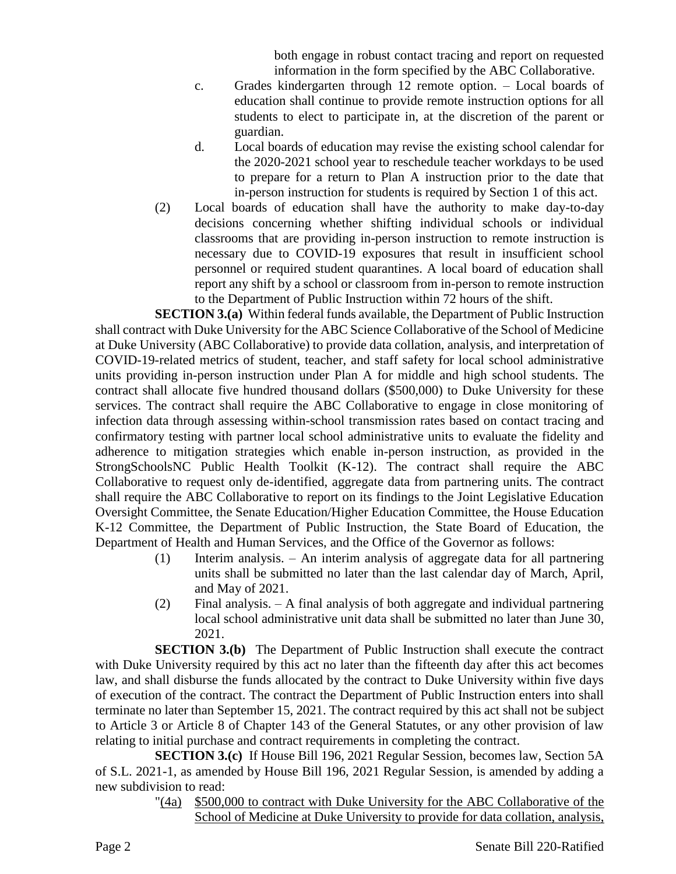both engage in robust contact tracing and report on requested information in the form specified by the ABC Collaborative.

- c. Grades kindergarten through 12 remote option. Local boards of education shall continue to provide remote instruction options for all students to elect to participate in, at the discretion of the parent or guardian.
- d. Local boards of education may revise the existing school calendar for the 2020-2021 school year to reschedule teacher workdays to be used to prepare for a return to Plan A instruction prior to the date that in-person instruction for students is required by Section 1 of this act.
- (2) Local boards of education shall have the authority to make day-to-day decisions concerning whether shifting individual schools or individual classrooms that are providing in-person instruction to remote instruction is necessary due to COVID-19 exposures that result in insufficient school personnel or required student quarantines. A local board of education shall report any shift by a school or classroom from in-person to remote instruction to the Department of Public Instruction within 72 hours of the shift.

**SECTION 3.(a)** Within federal funds available, the Department of Public Instruction shall contract with Duke University for the ABC Science Collaborative of the School of Medicine at Duke University (ABC Collaborative) to provide data collation, analysis, and interpretation of COVID-19-related metrics of student, teacher, and staff safety for local school administrative units providing in-person instruction under Plan A for middle and high school students. The contract shall allocate five hundred thousand dollars (\$500,000) to Duke University for these services. The contract shall require the ABC Collaborative to engage in close monitoring of infection data through assessing within-school transmission rates based on contact tracing and confirmatory testing with partner local school administrative units to evaluate the fidelity and adherence to mitigation strategies which enable in-person instruction, as provided in the StrongSchoolsNC Public Health Toolkit (K-12). The contract shall require the ABC Collaborative to request only de-identified, aggregate data from partnering units. The contract shall require the ABC Collaborative to report on its findings to the Joint Legislative Education Oversight Committee, the Senate Education/Higher Education Committee, the House Education K-12 Committee, the Department of Public Instruction, the State Board of Education, the Department of Health and Human Services, and the Office of the Governor as follows:

- (1) Interim analysis. An interim analysis of aggregate data for all partnering units shall be submitted no later than the last calendar day of March, April, and May of 2021.
- (2) Final analysis. A final analysis of both aggregate and individual partnering local school administrative unit data shall be submitted no later than June 30, 2021.

**SECTION 3.(b)** The Department of Public Instruction shall execute the contract with Duke University required by this act no later than the fifteenth day after this act becomes law, and shall disburse the funds allocated by the contract to Duke University within five days of execution of the contract. The contract the Department of Public Instruction enters into shall terminate no later than September 15, 2021. The contract required by this act shall not be subject to Article 3 or Article 8 of Chapter 143 of the General Statutes, or any other provision of law relating to initial purchase and contract requirements in completing the contract.

**SECTION 3.(c)** If House Bill 196, 2021 Regular Session, becomes law, Section 5A of S.L. 2021-1, as amended by House Bill 196, 2021 Regular Session, is amended by adding a new subdivision to read:

"(4a) \$500,000 to contract with Duke University for the ABC Collaborative of the School of Medicine at Duke University to provide for data collation, analysis,